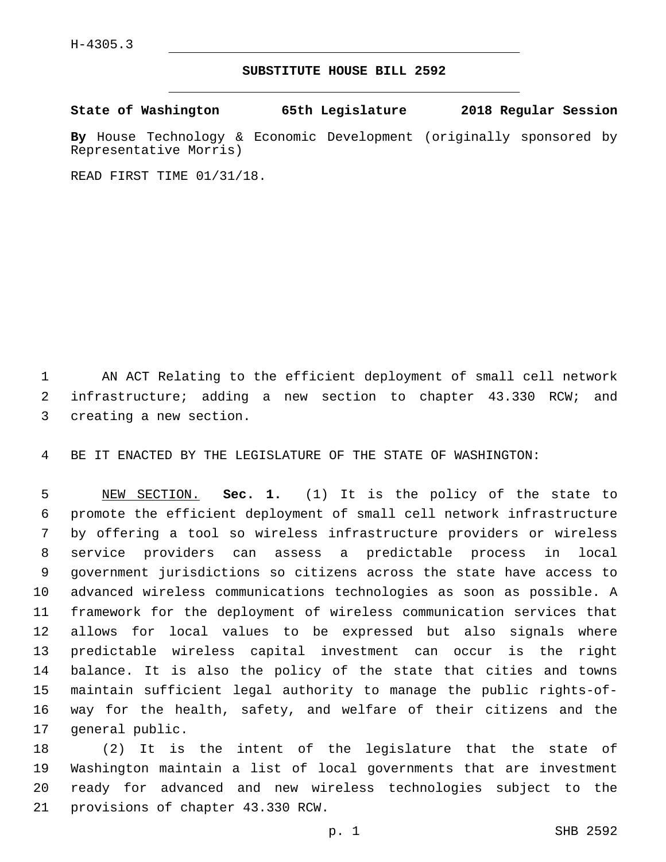## **SUBSTITUTE HOUSE BILL 2592**

**State of Washington 65th Legislature 2018 Regular Session**

**By** House Technology & Economic Development (originally sponsored by Representative Morris)

READ FIRST TIME 01/31/18.

 AN ACT Relating to the efficient deployment of small cell network infrastructure; adding a new section to chapter 43.330 RCW; and 3 creating a new section.

BE IT ENACTED BY THE LEGISLATURE OF THE STATE OF WASHINGTON:

 NEW SECTION. **Sec. 1.** (1) It is the policy of the state to promote the efficient deployment of small cell network infrastructure by offering a tool so wireless infrastructure providers or wireless service providers can assess a predictable process in local government jurisdictions so citizens across the state have access to advanced wireless communications technologies as soon as possible. A framework for the deployment of wireless communication services that allows for local values to be expressed but also signals where predictable wireless capital investment can occur is the right balance. It is also the policy of the state that cities and towns maintain sufficient legal authority to manage the public rights-of- way for the health, safety, and welfare of their citizens and the general public.

 (2) It is the intent of the legislature that the state of Washington maintain a list of local governments that are investment ready for advanced and new wireless technologies subject to the 21 provisions of chapter 43.330 RCW.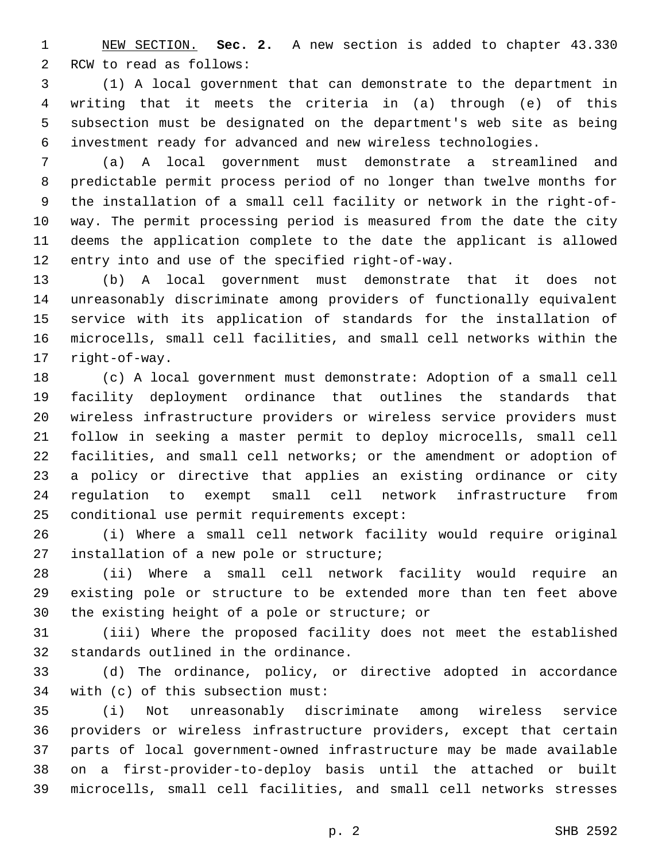NEW SECTION. **Sec. 2.** A new section is added to chapter 43.330 2 RCW to read as follows:

 (1) A local government that can demonstrate to the department in writing that it meets the criteria in (a) through (e) of this subsection must be designated on the department's web site as being investment ready for advanced and new wireless technologies.

 (a) A local government must demonstrate a streamlined and predictable permit process period of no longer than twelve months for the installation of a small cell facility or network in the right-of- way. The permit processing period is measured from the date the city deems the application complete to the date the applicant is allowed 12 entry into and use of the specified right-of-way.

 (b) A local government must demonstrate that it does not unreasonably discriminate among providers of functionally equivalent service with its application of standards for the installation of microcells, small cell facilities, and small cell networks within the 17 right-of-way.

 (c) A local government must demonstrate: Adoption of a small cell facility deployment ordinance that outlines the standards that wireless infrastructure providers or wireless service providers must follow in seeking a master permit to deploy microcells, small cell facilities, and small cell networks; or the amendment or adoption of a policy or directive that applies an existing ordinance or city regulation to exempt small cell network infrastructure from conditional use permit requirements except:

 (i) Where a small cell network facility would require original 27 installation of a new pole or structure;

 (ii) Where a small cell network facility would require an existing pole or structure to be extended more than ten feet above 30 the existing height of a pole or structure; or

 (iii) Where the proposed facility does not meet the established 32 standards outlined in the ordinance.

 (d) The ordinance, policy, or directive adopted in accordance 34 with (c) of this subsection must:

 (i) Not unreasonably discriminate among wireless service providers or wireless infrastructure providers, except that certain parts of local government-owned infrastructure may be made available on a first-provider-to-deploy basis until the attached or built microcells, small cell facilities, and small cell networks stresses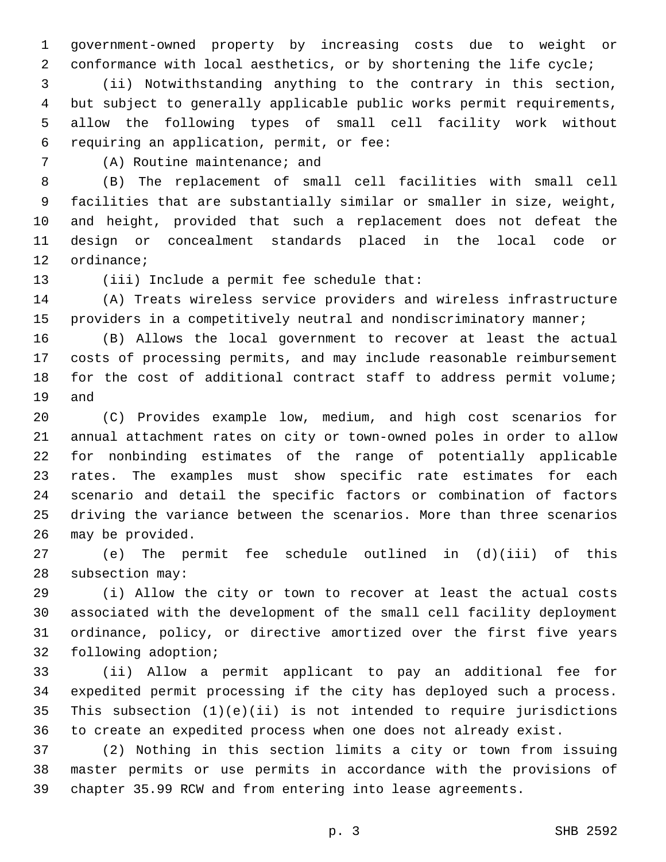government-owned property by increasing costs due to weight or conformance with local aesthetics, or by shortening the life cycle;

 (ii) Notwithstanding anything to the contrary in this section, but subject to generally applicable public works permit requirements, allow the following types of small cell facility work without requiring an application, permit, or fee:6

7 (A) Routine maintenance; and

 (B) The replacement of small cell facilities with small cell facilities that are substantially similar or smaller in size, weight, and height, provided that such a replacement does not defeat the design or concealment standards placed in the local code or 12 ordinance;

13 (iii) Include a permit fee schedule that:

 (A) Treats wireless service providers and wireless infrastructure providers in a competitively neutral and nondiscriminatory manner;

 (B) Allows the local government to recover at least the actual costs of processing permits, and may include reasonable reimbursement for the cost of additional contract staff to address permit volume; 19 and

 (C) Provides example low, medium, and high cost scenarios for annual attachment rates on city or town-owned poles in order to allow for nonbinding estimates of the range of potentially applicable rates. The examples must show specific rate estimates for each scenario and detail the specific factors or combination of factors driving the variance between the scenarios. More than three scenarios 26 may be provided.

 (e) The permit fee schedule outlined in (d)(iii) of this 28 subsection may:

 (i) Allow the city or town to recover at least the actual costs associated with the development of the small cell facility deployment ordinance, policy, or directive amortized over the first five years 32 following adoption;

 (ii) Allow a permit applicant to pay an additional fee for expedited permit processing if the city has deployed such a process. This subsection (1)(e)(ii) is not intended to require jurisdictions to create an expedited process when one does not already exist.

 (2) Nothing in this section limits a city or town from issuing master permits or use permits in accordance with the provisions of chapter 35.99 RCW and from entering into lease agreements.